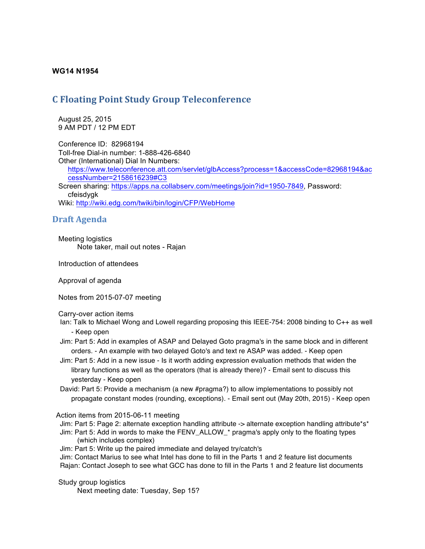## **WG14 N1954**

## **C** Floating Point Study Group Teleconference

 August 25, 2015 9 AM PDT / 12 PM EDT

 Conference ID: 82968194 Toll-free Dial-in number: 1-888-426-6840 Other (International) Dial In Numbers: https://www.teleconference.att.com/servlet/glbAccess?process=1&accessCode=82968194&ac cessNumber=2158616239#C3 Screen sharing: https://apps.na.collabserv.com/meetings/join?id=1950-7849, Password: cfeisdygk Wiki: http://wiki.edg.com/twiki/bin/login/CFP/WebHome

## **Draft Agenda**

 Meeting logistics Note taker, mail out notes - Rajan

Introduction of attendees

Approval of agenda

Notes from 2015-07-07 meeting

Carry-over action items

- Ian: Talk to Michael Wong and Lowell regarding proposing this IEEE-754: 2008 binding to C++ as well - Keep open
- Jim: Part 5: Add in examples of ASAP and Delayed Goto pragma's in the same block and in different orders. - An example with two delayed Goto's and text re ASAP was added. - Keep open
- Jim: Part 5: Add in a new issue Is it worth adding expression evaluation methods that widen the library functions as well as the operators (that is already there)? - Email sent to discuss this yesterday - Keep open
- David: Part 5: Provide a mechanism (a new #pragma?) to allow implementations to possibly not propagate constant modes (rounding, exceptions). - Email sent out (May 20th, 2015) - Keep open

Action items from 2015-06-11 meeting

- Jim: Part 5: Page 2: alternate exception handling attribute -> alternate exception handling attribute\*s\*
- Jim: Part 5: Add in words to make the FENV\_ALLOW\_\* pragma's apply only to the floating types (which includes complex)
- Jim: Part 5: Write up the paired immediate and delayed try/catch's

Jim: Contact Marius to see what Intel has done to fill in the Parts 1 and 2 feature list documents Rajan: Contact Joseph to see what GCC has done to fill in the Parts 1 and 2 feature list documents

## Study group logistics

Next meeting date: Tuesday, Sep 15?